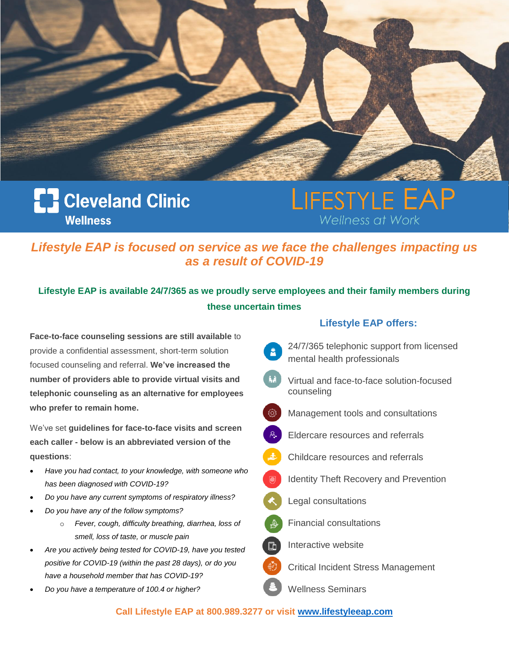

### **[] Cleveland Clinic Wellness**

# LIFESTYLE Wellness at Wor

*Lifestyle EAP is focused on service as we face the challenges impacting us as a result of COVID-19*

### **Lifestyle EAP is available 24/7/365 as we proudly serve employees and their family members during these uncertain times**

**Face-to-face counseling sessions are still available** to provide a confidential assessment, short-term solution focused counseling and referral. **We've increased the number of providers able to provide virtual visits and telephonic counseling as an alternative for employees who prefer to remain home.**

We've set **guidelines for face-to-face visits and screen each caller - below is an abbreviated version of the questions**:

- *Have you had contact, to your knowledge, with someone who has been diagnosed with COVID-19?*
- *Do you have any current symptoms of respiratory illness?*
- *Do you have any of the follow symptoms?* 
	- o *Fever, cough, difficulty breathing, diarrhea, loss of smell, loss of taste, or muscle pain*
- *Are you actively being tested for COVID-19, have you tested positive for COVID-19 (within the past 28 days), or do you have a household member that has COVID-19?*
- *Do you have a temperature of 100.4 or higher?*

#### **Lifestyle EAP offers:**

- 24/7/365 telephonic support from licensed mental health professionals
- Virtual and face-to-face solution-focused counseling
- දුරි} Management tools and consultations
	- Eldercare resources and referrals
	- Childcare resources and referrals
	- Identity Theft Recovery and Prevention
- Legal consultations
- Financial consultations
	- Interactive website

Critical Incident Stress Management

Wellness Seminars

#### **Call Lifestyle EAP at 800.989.3277 or visit [www.lifestyleeap.com](http://www.lifestyleeap.com/)**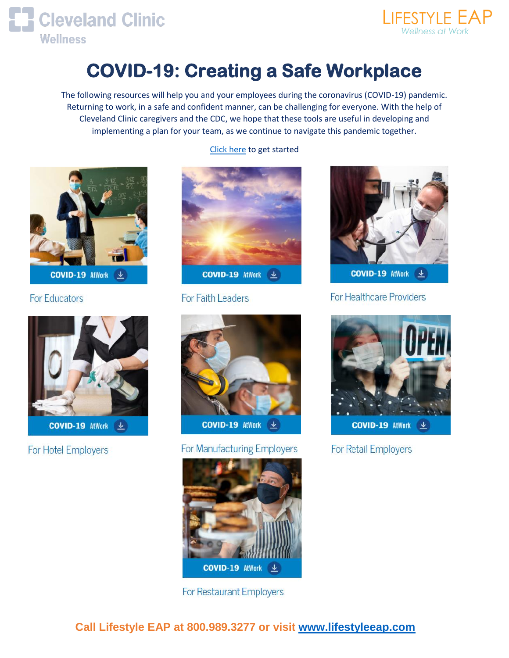



# **COVID-19: Creating a Safe Workplace**

The following resources will help you and your employees during the coronavirus (COVID-19) pandemic. Returning to work, in a safe and confident manner, can be challenging for everyone. With the help of Cleveland Clinic caregivers and the CDC, we hope that these tools are useful in developing and implementing a plan for your team, as we continue to navigate this pandemic together.



**For Educators** 



**COVID-19 AtWork**  $\underline{\mathbf{L}}$ 

For Hotel Employers



**COVID-19 AtWork**  $\frac{1}{2}$ 

For Faith Leaders



#### For Manufacturing Employers



**For Restaurant Employers** 

#### [Click here](https://my.clevelandclinic.org/departments/employer-healthcare-solutions/covid-19-workplace-safety) to get started



**For Healthcare Providers** 



**For Retail Employers** 

 **Call Lifestyle EAP at 800.989.3277 or visit [www.lifestyleeap.com](http://www.lifestyleeap.com/)**